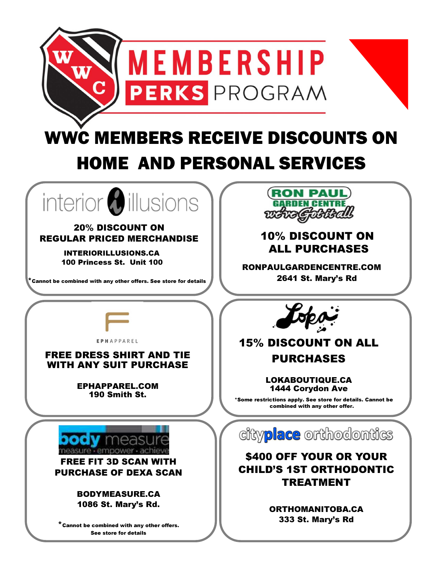

# WWC MEMBERS RECEIVE DISCOUNTS ON HOME AND PERSONAL SERVICES